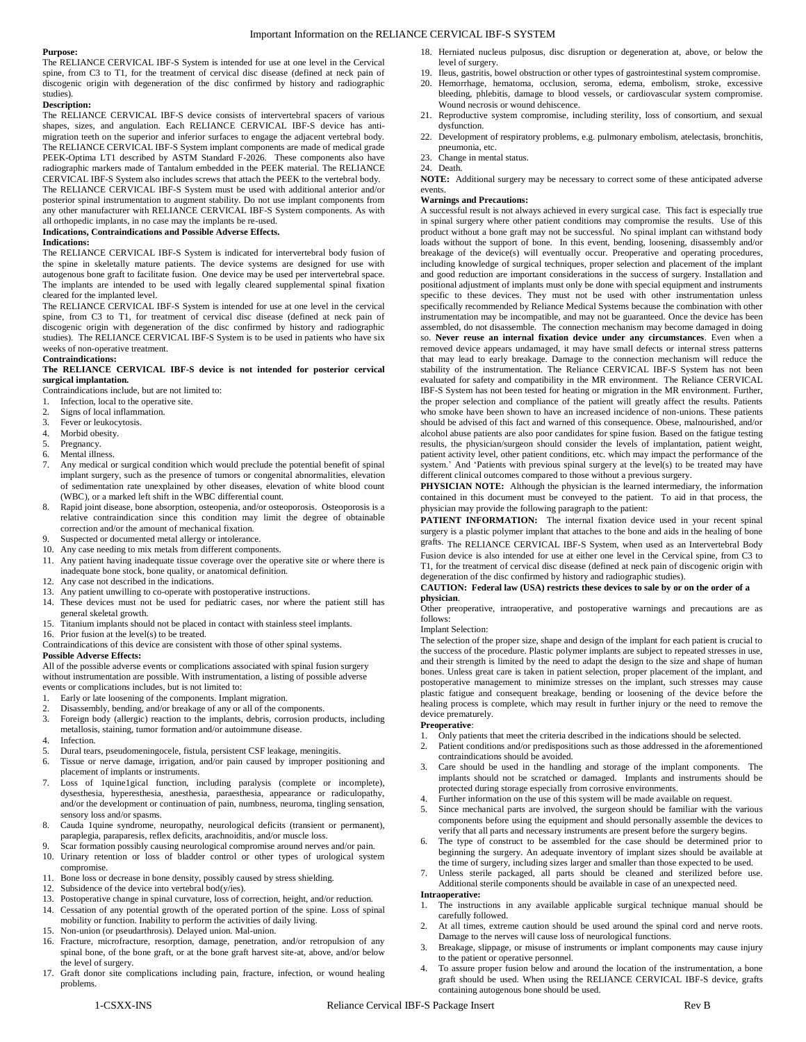# Important Information on the RELIANCE CERVICAL IBF-S SYSTEM

### **Purpose:**

The RELIANCE CERVICAL IBF-S System is intended for use at one level in the Cervical spine, from C3 to T1, for the treatment of cervical disc disease (defined at neck pain of discogenic origin with degeneration of the disc confirmed by history and radiographic studies).

### **Description:**

The RELIANCE CERVICAL IBF-S device consists of intervertebral spacers of various shapes, sizes, and angulation. Each RELIANCE CERVICAL IBF-S device has antimigration teeth on the superior and inferior surfaces to engage the adjacent vertebral body. The RELIANCE CERVICAL IBF-S System implant components are made of medical grade PEEK-Optima LT1 described by ASTM Standard F-2026. These components also have radiographic markers made of Tantalum embedded in the PEEK material. The RELIANCE CERVICAL IBF-S System also includes screws that attach the PEEK to the vertebral body. The RELIANCE CERVICAL IBF-S System must be used with additional anterior and/or posterior spinal instrumentation to augment stability. Do not use implant components from any other manufacturer with RELIANCE CERVICAL IBF-S System components. As with all orthopedic implants, in no case may the implants be re-used.

## **Indications, Contraindications and Possible Adverse Effects.**

#### **Indications:**

The RELIANCE CERVICAL IBF-S System is indicated for intervertebral body fusion of the spine in skeletally mature patients. The device systems are designed for use with autogenous bone graft to facilitate fusion. One device may be used per intervertebral space. The implants are intended to be used with legally cleared supplemental spinal fixation cleared for the implanted level.

The RELIANCE CERVICAL IBF-S System is intended for use at one level in the cervical spine, from C3 to T1, for treatment of cervical disc disease (defined at neck pain of discogenic origin with degeneration of the disc confirmed by history and radiographic studies). The RELIANCE CERVICAL IBF-S System is to be used in patients who have six weeks of non-operative treatment.

### **Contraindications:**

# **The RELIANCE CERVICAL IBF-S device is not intended for posterior cervical surgical implantation.**

Contraindications include, but are not limited to:

- 1. Infection, local to the operative site.
- 2. Signs of local inflammation.<br>3 Fever or leukocytosis
- 3. Fever or leukocytosis.<br>4. Morbid obesity.
- Morbid obesity.
- 5. Pregnancy.
- 6. Mental illness.<br>7. Any medical of Any medical or surgical condition which would preclude the potential benefit of spinal implant surgery, such as the presence of tumors or congenital abnormalities, elevation of sedimentation rate unexplained by other diseases, elevation of white blood count (WBC), or a marked left shift in the WBC differential count.
- 8. Rapid joint disease, bone absorption, osteopenia, and/or osteoporosis. Osteoporosis is a relative contraindication since this condition may limit the degree of obtainable correction and/or the amount of mechanical fixation.
- Suspected or documented metal allergy or intolerance.
- 10. Any case needing to mix metals from different components.
- 11. Any patient having inadequate tissue coverage over the operative site or where there is inadequate bone stock, bone quality, or anatomical definition.
- 12. Any case not described in the indications.
- 13. Any patient unwilling to co-operate with postoperative instructions.
- 14. These devices must not be used for pediatric cases, nor where the patient still has general skeletal growth.
- 15. Titanium implants should not be placed in contact with stainless steel implants.
- 16. Prior fusion at the level(s) to be treated.
- Contraindications of this device are consistent with those of other spinal systems.

# **Possible Adverse Effects:**

All of the possible adverse events or complications associated with spinal fusion surgery without instrumentation are possible. With instrumentation, a listing of possible adverse events or complications includes, but is not limited to:

- 1. Early or late loosening of the components. Implant migration.<br>2. Disassembly, bending, and/or breakage of any or all of the co
- 2. Disassembly, bending, and/or breakage of any or all of the components.<br>3. Foreign body (allergic) reaction to the implants, debris, corrosion pro
- 3. Foreign body (allergic) reaction to the implants, debris, corrosion products, including metallosis, staining, tumor formation and/or autoimmune disease.
- 4. Infection.<br>5 Dural team
- 5. Dural tears, pseudomeningocele, fistula, persistent CSF leakage, meningitis.
- 6. Tissue or nerve damage, irrigation, and/or pain caused by improper positioning and placement of implants or instruments.
- 7. Loss of 1quine1gical function, including paralysis (complete or incomplete), dysesthesia, hyperesthesia, anesthesia, paraesthesia, appearance or radiculopathy, and/or the development or continuation of pain, numbness, neuroma, tingling sensation, sensory loss and/or spasms.
- 8. Cauda 1quine syndrome, neuropathy, neurological deficits (transient or permanent), paraplegia, paraparesis, reflex deficits, arachnoiditis, and/or muscle loss.
- 9. Scar formation possibly causing neurological compromise around nerves and/or pain. 10. Urinary retention or loss of bladder control or other types of urological system compromise.
- 11. Bone loss or decrease in bone density, possibly caused by stress shielding.
- 12. Subsidence of the device into vertebral bod(y/ies).
- 13. Postoperative change in spinal curvature, loss of correction, height, and/or reduction.
- Cessation of any potential growth of the operated portion of the spine. Loss of spinal mobility or function. Inability to perform the activities of daily living.
- 15. Non-union (or pseudarthrosis). Delayed union. Mal-union.
- 16. Fracture, microfracture, resorption, damage, penetration, and/or retropulsion of any spinal bone, of the bone graft, or at the bone graft harvest site-at, above, and/or below the level of surgery.
- 17. Graft donor site complications including pain, fracture, infection, or wound healing problems.
- 18. Herniated nucleus pulposus, disc disruption or degeneration at, above, or below the level of surgery.
- 19. Ileus, gastritis, bowel obstruction or other types of gastrointestinal system compromise.
- 20. Hemorrhage, hematoma, occlusion, seroma, edema, embolism, stroke, excessive bleeding, phlebitis, damage to blood vessels, or cardiovascular system compromise. Wound necrosis or wound dehiscence.
- 21. Reproductive system compromise, including sterility, loss of consortium, and sexual dysfunction.
- 22. Development of respiratory problems, e.g. pulmonary embolism, atelectasis, bronchitis, pneumonia, etc.
- 23. Change in mental status.
- 24. Death.

**NOTE:** Additional surgery may be necessary to correct some of these anticipated adverse events.

# **Warnings and Precautions:**

A successful result is not always achieved in every surgical case. This fact is especially true in spinal surgery where other patient conditions may compromise the results. Use of this product without a bone graft may not be successful. No spinal implant can withstand body loads without the support of bone. In this event, bending, loosening, disassembly and/or breakage of the device(s) will eventually occur. Preoperative and operating procedures, including knowledge of surgical techniques, proper selection and placement of the implant and good reduction are important considerations in the success of surgery. Installation and positional adjustment of implants must only be done with special equipment and instruments specific to these devices. They must not be used with other instrumentation unless specifically recommended by Reliance Medical Systems because the combination with other instrumentation may be incompatible, and may not be guaranteed. Once the device has been assembled, do not disassemble. The connection mechanism may become damaged in doing so. **Never reuse an internal fixation device under any circumstances**. Even when a removed device appears undamaged, it may have small defects or internal stress patterns that may lead to early breakage. Damage to the connection mechanism will reduce the stability of the instrumentation. The Reliance CERVICAL IBF-S System has not been evaluated for safety and compatibility in the MR environment. The Reliance CERVICAL IBF-S System has not been tested for heating or migration in the MR environment. Further, the proper selection and compliance of the patient will greatly affect the results. Patients who smoke have been shown to have an increased incidence of non-unions. These patients should be advised of this fact and warned of this consequence. Obese, malnourished, and/or alcohol abuse patients are also poor candidates for spine fusion. Based on the fatigue testing results, the physician/surgeon should consider the levels of implantation, patient weight, patient activity level, other patient conditions, etc. which may impact the performance of the system.' And 'Patients with previous spinal surgery at the level(s) to be treated may have different clinical outcomes compared to those without a previous surgery.

**PHYSICIAN NOTE:** Although the physician is the learned intermediary, the information contained in this document must be conveyed to the patient. To aid in that process, the physician may provide the following paragraph to the patient:

PATIENT INFORMATION: The internal fixation device used in your recent spinal surgery is a plastic polymer implant that attaches to the bone and aids in the healing of bone grafts. The RELIANCE CERVICAL IBF-S System, when used as an Intervertebral Body Fusion device is also intended for use at either one level in the Cervical spine, from C3 to T1, for the treatment of cervical disc disease (defined at neck pain of discogenic origin with degeneration of the disc confirmed by history and radiographic studies).

#### **CAUTION: Federal law (USA) restricts these devices to sale by or on the order of a physician**.

Other preoperative, intraoperative, and postoperative warnings and precautions are as follows:

### Implant Selection:

The selection of the proper size, shape and design of the implant for each patient is crucial to the success of the procedure. Plastic polymer implants are subject to repeated stresses in use, and their strength is limited by the need to adapt the design to the size and shape of human bones. Unless great care is taken in patient selection, proper placement of the implant, and postoperative management to minimize stresses on the implant, such stresses may cause plastic fatigue and consequent breakage, bending or loosening of the device before the healing process is complete, which may result in further injury or the need to remove the device prematurely.

#### **Preoperative**:

- 1. Only patients that meet the criteria described in the indications should be selected.
- 2. Patient conditions and/or predispositions such as those addressed in the aforementioned contraindications should be avoided.
- 3. Care should be used in the handling and storage of the implant components. The implants should not be scratched or damaged. Implants and instruments should be protected during storage especially from corrosive environments.
- Further information on the use of this system will be made available on request.
- 5. Since mechanical parts are involved, the surgeon should be familiar with the various components before using the equipment and should personally assemble the devices to verify that all parts and necessary instruments are present before the surgery begins.
- The type of construct to be assembled for the case should be determined prior to beginning the surgery. An adequate inventory of implant sizes should be available at the time of surgery, including sizes larger and smaller than those expected to be used.
- 7. Unless sterile packaged, all parts should be cleaned and sterilized before use. Additional sterile components should be available in case of an unexpected need. **Intraoperative:**
- 1. The instructions in any available applicable surgical technique manual should be carefully followed.
- At all times, extreme caution should be used around the spinal cord and nerve roots. Damage to the nerves will cause loss of neurological functions.
- 3. Breakage, slippage, or misuse of instruments or implant components may cause injury to the patient or operative personnel.
- To assure proper fusion below and around the location of the instrumentation, a bone graft should be used. When using the RELIANCE CERVICAL IBF-S device, grafts containing autogenous bone should be used.